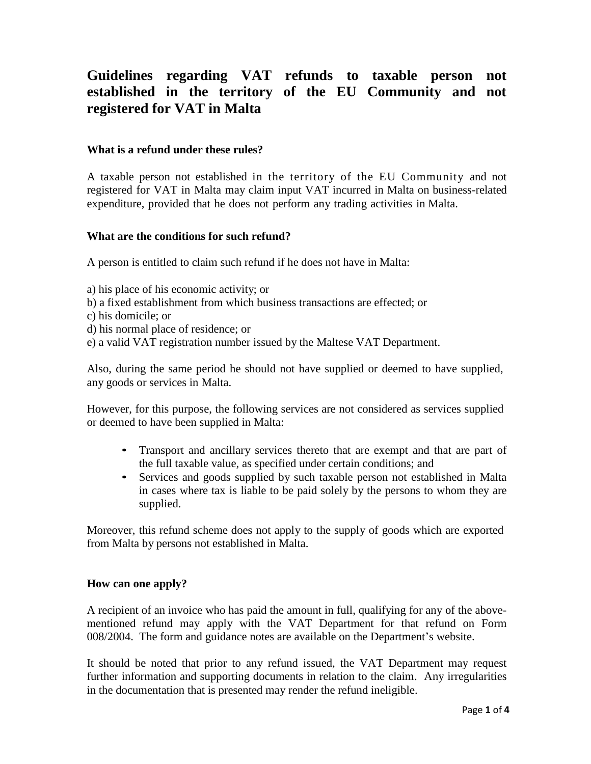# **Guidelines regarding VAT refunds to taxable person not established in the territory of the EU Community and not registered for VAT in Malta**

### **What is a refund under these rules?**

A taxable person not established in the territory of the EU Community and not registered for VAT in Malta may claim input VAT incurred in Malta on business-related expenditure, provided that he does not perform any trading activities in Malta.

#### **What are the conditions for such refund?**

A person is entitled to claim such refund if he does not have in Malta:

- a) his place of his economic activity; or
- b) a fixed establishment from which business transactions are effected; or
- c) his domicile; or
- d) his normal place of residence; or
- e) a valid VAT registration number issued by the Maltese VAT Department.

Also, during the same period he should not have supplied or deemed to have supplied, any goods or services in Malta.

However, for this purpose, the following services are not considered as services supplied or deemed to have been supplied in Malta:

- Transport and ancillary services thereto that are exempt and that are part of the full taxable value, as specified under certain conditions; and
- Services and goods supplied by such taxable person not established in Malta in cases where tax is liable to be paid solely by the persons to whom they are supplied.

Moreover, this refund scheme does not apply to the supply of goods which are exported from Malta by persons not established in Malta.

#### **How can one apply?**

A recipient of an invoice who has paid the amount in full, qualifying for any of the abovementioned refund may apply with the VAT Department for that refund on Form 008/2004. The form and guidance notes are available on the Department's website.

It should be noted that prior to any refund issued, the VAT Department may request further information and supporting documents in relation to the claim. Any irregularities in the documentation that is presented may render the refund ineligible.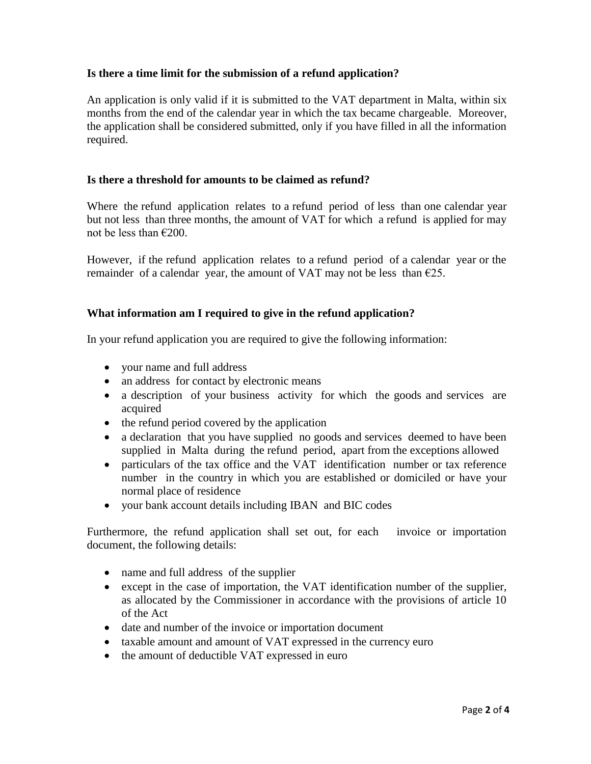# **Is there a time limit for the submission of a refund application?**

An application is only valid if it is submitted to the VAT department in Malta, within six months from the end of the calendar year in which the tax became chargeable. Moreover, the application shall be considered submitted, only if you have filled in all the information required.

### **Is there a threshold for amounts to be claimed as refund?**

Where the refund application relates to a refund period of less than one calendar year but not less than three months, the amount of VAT for which a refund is applied for may not be less than €200.

However, if the refund application relates to a refund period of a calendar year or the remainder of a calendar year, the amount of VAT may not be less than  $\epsilon$ 25.

### **What information am I required to give in the refund application?**

In your refund application you are required to give the following information:

- your name and full address
- an address for contact by electronic means
- a description of your business activity for which the goods and services are acquired
- the refund period covered by the application
- a declaration that you have supplied no goods and services deemed to have been supplied in Malta during the refund period, apart from the exceptions allowed
- particulars of the tax office and the VAT identification number or tax reference number in the country in which you are established or domiciled or have your normal place of residence
- your bank account details including IBAN and BIC codes

Furthermore, the refund application shall set out, for each invoice or importation document, the following details:

- name and full address of the supplier
- except in the case of importation, the VAT identification number of the supplier, as allocated by the Commissioner in accordance with the provisions of article 10 of the Act
- date and number of the invoice or importation document
- taxable amount and amount of VAT expressed in the currency euro
- the amount of deductible VAT expressed in euro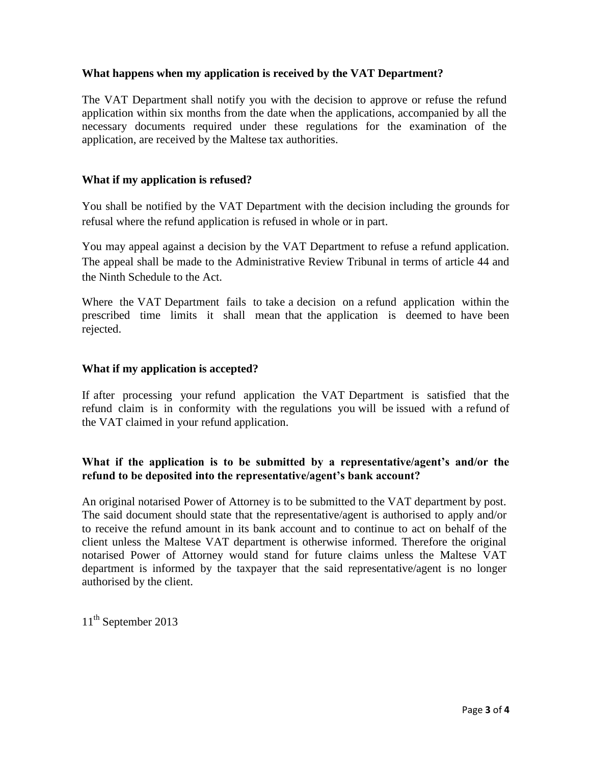## **What happens when my application is received by the VAT Department?**

The VAT Department shall notify you with the decision to approve or refuse the refund application within six months from the date when the applications, accompanied by all the necessary documents required under these regulations for the examination of the application, are received by the Maltese tax authorities.

### **What if my application is refused?**

You shall be notified by the VAT Department with the decision including the grounds for refusal where the refund application is refused in whole or in part.

You may appeal against a decision by the VAT Department to refuse a refund application. The appeal shall be made to the Administrative Review Tribunal in terms of article 44 and the Ninth Schedule to the Act.

Where the VAT Department fails to take a decision on a refund application within the prescribed time limits it shall mean that the application is deemed to have been rejected.

### **What if my application is accepted?**

If after processing your refund application the VAT Department is satisfied that the refund claim is in conformity with the regulations you will be issued with a refund of the VAT claimed in your refund application.

### **What if the application is to be submitted by a representative/agent's and/or the refund to be deposited into the representative/agent's bank account?**

An original notarised Power of Attorney is to be submitted to the VAT department by post. The said document should state that the representative/agent is authorised to apply and/or to receive the refund amount in its bank account and to continue to act on behalf of the client unless the Maltese VAT department is otherwise informed. Therefore the original notarised Power of Attorney would stand for future claims unless the Maltese VAT department is informed by the taxpayer that the said representative/agent is no longer authorised by the client.

11<sup>th</sup> September 2013